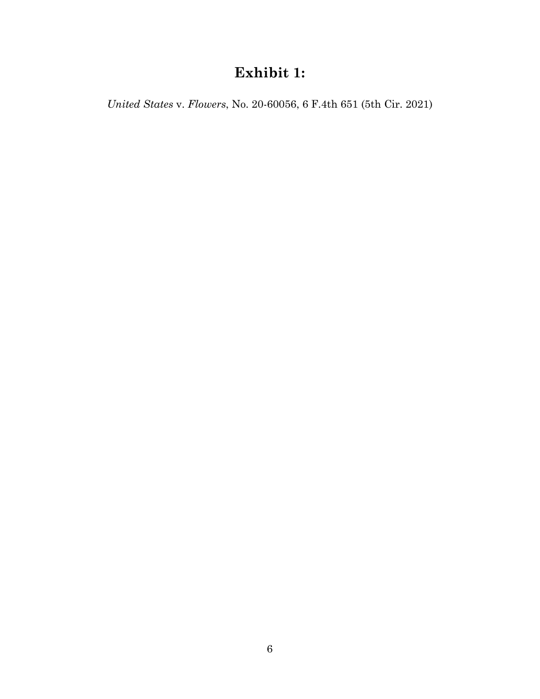# **Exhibit 1:**

*United States* v. *Flowers*, No. 20-60056, 6 F.4th 651 (5th Cir. 2021)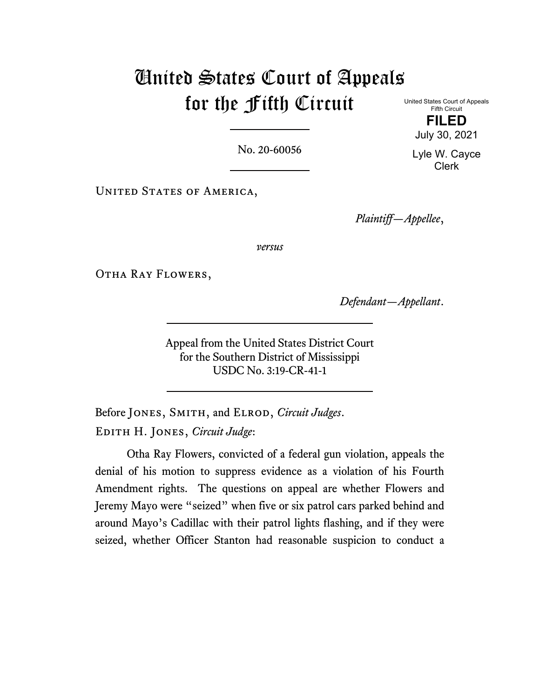# United States Court of Appeals for the Fifth Circuit

United States Court of Appeals Fifth Circuit **FILED**

July 30, 2021

No. 20-60056

Lyle W. Cayce Clerk

UNITED STATES OF AMERICA,

*Plaintiff—Appellee*,

*versus*

Otha Ray Flowers,

*Defendant—Appellant*.

Appeal from the United States District Court for the Southern District of Mississippi USDC No. 3:19-CR-41-1

Before JONES, SMITH, and ELROD, *Circuit Judges*. Edith H. Jones, *Circuit Judge*:

Otha Ray Flowers, convicted of a federal gun violation, appeals the denial of his motion to suppress evidence as a violation of his Fourth Amendment rights. The questions on appeal are whether Flowers and Jeremy Mayo were "seized" when five or six patrol cars parked behind and around Mayo's Cadillac with their patrol lights flashing, and if they were seized, whether Officer Stanton had reasonable suspicion to conduct a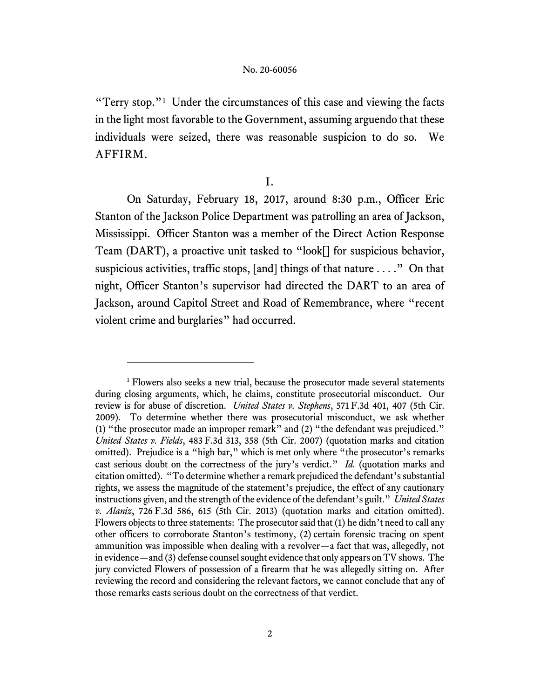"Terry stop."<sup>1</sup> Under the circumstances of this case and viewing the facts in the light most favorable to the Government, assuming arguendo that these individuals were seized, there was reasonable suspicion to do so. We AFFIRM.

I.

On Saturday, February 18, 2017, around 8:30 p.m., Officer Eric Stanton of the Jackson Police Department was patrolling an area of Jackson, Mississippi. Officer Stanton was a member of the Direct Action Response Team (DART), a proactive unit tasked to "look[] for suspicious behavior, suspicious activities, traffic stops, [and] things of that nature . . . ." On that night, Officer Stanton's supervisor had directed the DART to an area of Jackson, around Capitol Street and Road of Remembrance, where "recent violent crime and burglaries" had occurred.

<sup>&</sup>lt;sup>1</sup> Flowers also seeks a new trial, because the prosecutor made several statements during closing arguments, which, he claims, constitute prosecutorial misconduct. Our review is for abuse of discretion. *United States v. Stephens*, 571 F.3d 401, 407 (5th Cir. 2009). To determine whether there was prosecutorial misconduct, we ask whether (1) "the prosecutor made an improper remark" and (2) "the defendant was prejudiced." *United States v. Fields*, 483 F.3d 313, 358 (5th Cir. 2007) (quotation marks and citation omitted). Prejudice is a "high bar," which is met only where "the prosecutor's remarks cast serious doubt on the correctness of the jury's verdict." *Id.* (quotation marks and citation omitted). "To determine whether a remark prejudiced the defendant's substantial rights, we assess the magnitude of the statement's prejudice, the effect of any cautionary instructions given, and the strength of the evidence of the defendant's guilt." *United States v. Alaniz*, 726 F.3d 586, 615 (5th Cir. 2013) (quotation marks and citation omitted). Flowers objects to three statements: The prosecutor said that (1) he didn't need to call any other officers to corroborate Stanton's testimony, (2) certain forensic tracing on spent ammunition was impossible when dealing with a revolver—a fact that was, allegedly, not in evidence—and (3) defense counsel sought evidence that only appears on TV shows. The jury convicted Flowers of possession of a firearm that he was allegedly sitting on. After reviewing the record and considering the relevant factors, we cannot conclude that any of those remarks casts serious doubt on the correctness of that verdict.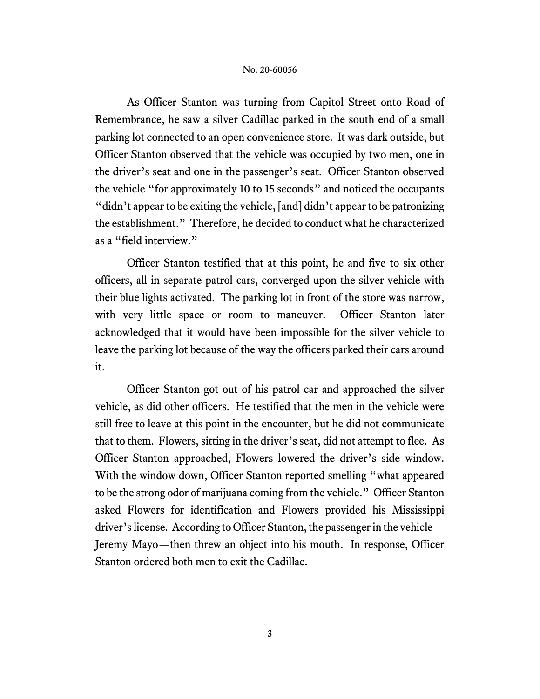As Officer Stanton was turning from Capitol Street onto Road of Remembrance, he saw a silver Cadillac parked in the south end of a small parking lot connected to an open convenience store. It was dark outside, but Officer Stanton observed that the vehicle was occupied by two men, one in the driver's seat and one in the passenger's seat. Officer Stanton observed the vehicle "for approximately 10 to 15 seconds" and noticed the occupants "didn't appear to be exiting the vehicle, [and] didn't appear to be patronizing the establishment." Therefore, he decided to conduct what he characterized as a "field interview."

Officer Stanton testified that at this point, he and five to six other officers, all in separate patrol cars, converged upon the silver vehicle with their blue lights activated. The parking lot in front of the store was narrow, with very little space or room to maneuver. Officer Stanton later acknowledged that it would have been impossible for the silver vehicle to leave the parking lot because of the way the officers parked their cars around it.

Officer Stanton got out of his patrol car and approached the silver vehicle, as did other officers. He testified that the men in the vehicle were still free to leave at this point in the encounter, but he did not communicate that to them. Flowers, sitting in the driver's seat, did not attempt to flee. As Officer Stanton approached, Flowers lowered the driver's side window. With the window down, Officer Stanton reported smelling "what appeared to be the strong odor of marijuana coming from the vehicle." Officer Stanton asked Flowers for identification and Flowers provided his Mississippi driver's license. According to Officer Stanton, the passenger in the vehicle— Jeremy Mayo—then threw an object into his mouth. In response, Officer Stanton ordered both men to exit the Cadillac.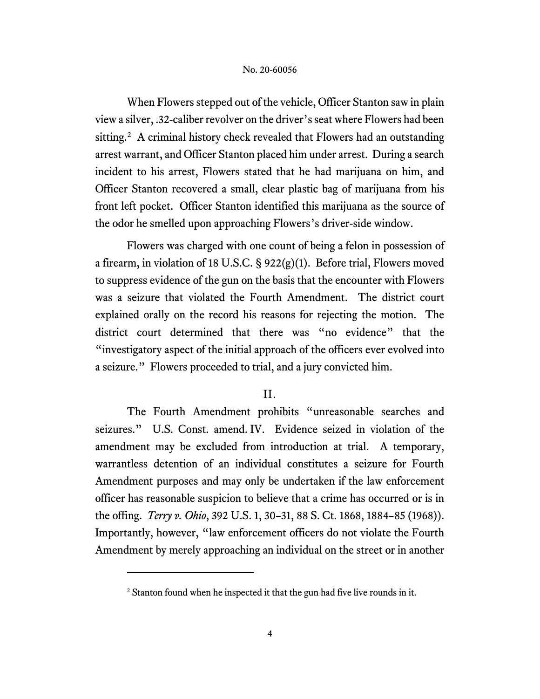When Flowers stepped out of the vehicle, Officer Stanton saw in plain view a silver, .32-caliber revolver on the driver's seat where Flowers had been sitting. 2 A criminal history check revealed that Flowers had an outstanding arrest warrant, and Officer Stanton placed him under arrest. During a search incident to his arrest, Flowers stated that he had marijuana on him, and Officer Stanton recovered a small, clear plastic bag of marijuana from his front left pocket. Officer Stanton identified this marijuana as the source of the odor he smelled upon approaching Flowers's driver-side window.

Flowers was charged with one count of being a felon in possession of a firearm, in violation of 18 U.S.C. § 922(g)(1). Before trial, Flowers moved to suppress evidence of the gun on the basis that the encounter with Flowers was a seizure that violated the Fourth Amendment. The district court explained orally on the record his reasons for rejecting the motion. The district court determined that there was "no evidence" that the "investigatory aspect of the initial approach of the officers ever evolved into a seizure." Flowers proceeded to trial, and a jury convicted him.

### II.

The Fourth Amendment prohibits "unreasonable searches and seizures." U.S. Const. amend. IV. Evidence seized in violation of the amendment may be excluded from introduction at trial. A temporary, warrantless detention of an individual constitutes a seizure for Fourth Amendment purposes and may only be undertaken if the law enforcement officer has reasonable suspicion to believe that a crime has occurred or is in the offing. *Terry v. Ohio*, 392 U.S. 1, 30–31, 88 S. Ct. 1868, 1884–85 (1968)). Importantly, however, "law enforcement officers do not violate the Fourth Amendment by merely approaching an individual on the street or in another

<sup>&</sup>lt;sup>2</sup> Stanton found when he inspected it that the gun had five live rounds in it.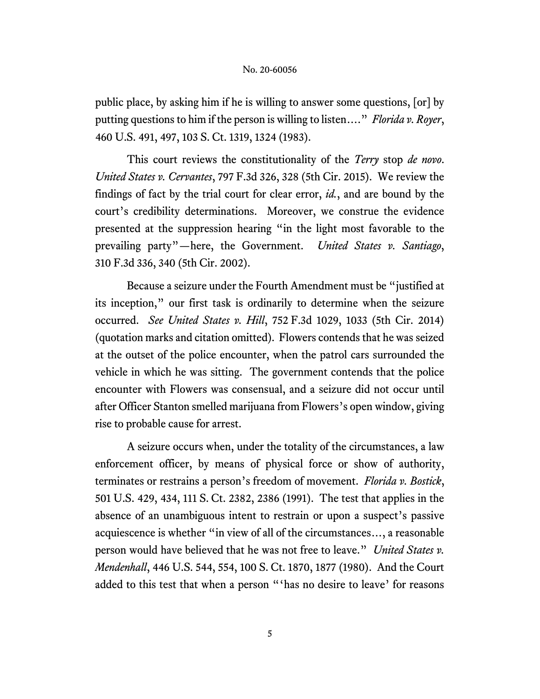public place, by asking him if he is willing to answer some questions, [or] by putting questions to him if the person is willing to listen…." *Florida v. Royer*, 460 U.S. 491, 497, 103 S. Ct. 1319, 1324 (1983).

This court reviews the constitutionality of the *Terry* stop *de novo*. *United States v. Cervantes*, 797 F.3d 326, 328 (5th Cir. 2015). We review the findings of fact by the trial court for clear error, *id.*, and are bound by the court's credibility determinations. Moreover, we construe the evidence presented at the suppression hearing "in the light most favorable to the prevailing party"—here, the Government. *United States v. Santiago*, 310 F.3d 336, 340 (5th Cir. 2002).

Because a seizure under the Fourth Amendment must be "justified at its inception," our first task is ordinarily to determine when the seizure occurred. *See United States v. Hill*, 752 F.3d 1029, 1033 (5th Cir. 2014) (quotation marks and citation omitted). Flowers contends that he was seized at the outset of the police encounter, when the patrol cars surrounded the vehicle in which he was sitting. The government contends that the police encounter with Flowers was consensual, and a seizure did not occur until after Officer Stanton smelled marijuana from Flowers's open window, giving rise to probable cause for arrest.

A seizure occurs when, under the totality of the circumstances, a law enforcement officer, by means of physical force or show of authority, terminates or restrains a person's freedom of movement. *Florida v. Bostick*, 501 U.S. 429, 434, 111 S. Ct. 2382, 2386 (1991). The test that applies in the absence of an unambiguous intent to restrain or upon a suspect's passive acquiescence is whether "in view of all of the circumstances…, a reasonable person would have believed that he was not free to leave." *United States v. Mendenhall*, 446 U.S. 544, 554, 100 S. Ct. 1870, 1877 (1980). And the Court added to this test that when a person "'has no desire to leave' for reasons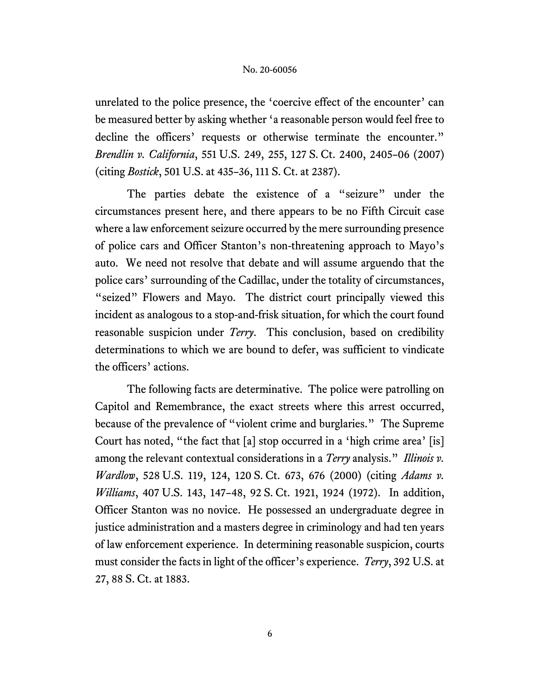unrelated to the police presence, the 'coercive effect of the encounter' can be measured better by asking whether 'a reasonable person would feel free to decline the officers' requests or otherwise terminate the encounter." *Brendlin v. California*, 551 U.S. 249, 255, 127 S. Ct. 2400, 2405–06 (2007) (citing *Bostick*, 501 U.S. at 435–36, 111 S. Ct. at 2387).

The parties debate the existence of a "seizure" under the circumstances present here, and there appears to be no Fifth Circuit case where a law enforcement seizure occurred by the mere surrounding presence of police cars and Officer Stanton's non-threatening approach to Mayo's auto. We need not resolve that debate and will assume arguendo that the police cars' surrounding of the Cadillac, under the totality of circumstances, "seized" Flowers and Mayo. The district court principally viewed this incident as analogous to a stop-and-frisk situation, for which the court found reasonable suspicion under *Terry*. This conclusion, based on credibility determinations to which we are bound to defer, was sufficient to vindicate the officers' actions.

The following facts are determinative. The police were patrolling on Capitol and Remembrance, the exact streets where this arrest occurred, because of the prevalence of "violent crime and burglaries." The Supreme Court has noted, "the fact that [a] stop occurred in a 'high crime area' [is] among the relevant contextual considerations in a *Terry* analysis." *Illinois v. Wardlow*, 528 U.S. 119, 124, 120 S. Ct. 673, 676 (2000) (citing *Adams v. Williams*, 407 U.S. 143, 147–48, 92 S. Ct. 1921, 1924 (1972). In addition, Officer Stanton was no novice. He possessed an undergraduate degree in justice administration and a masters degree in criminology and had ten years of law enforcement experience. In determining reasonable suspicion, courts must consider the facts in light of the officer's experience. *Terry*, 392 U.S. at 27, 88 S. Ct. at 1883.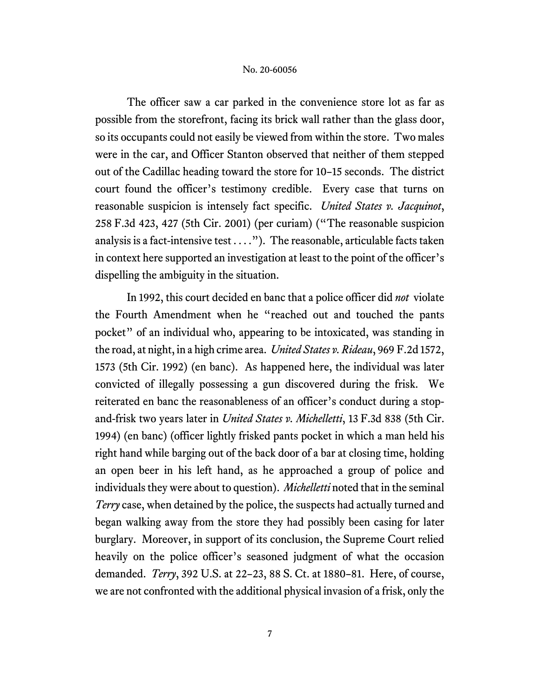The officer saw a car parked in the convenience store lot as far as possible from the storefront, facing its brick wall rather than the glass door, so its occupants could not easily be viewed from within the store. Two males were in the car, and Officer Stanton observed that neither of them stepped out of the Cadillac heading toward the store for 10–15 seconds. The district court found the officer's testimony credible. Every case that turns on reasonable suspicion is intensely fact specific. *United States v. Jacquinot*, 258 F.3d 423, 427 (5th Cir. 2001) (per curiam) ("The reasonable suspicion analysis is a fact-intensive test  $\dots$ "). The reasonable, articulable facts taken in context here supported an investigation at least to the point of the officer's dispelling the ambiguity in the situation.

In 1992, this court decided en banc that a police officer did *not* violate the Fourth Amendment when he "reached out and touched the pants pocket" of an individual who, appearing to be intoxicated, was standing in the road, at night, in a high crime area. *United States v. Rideau*, 969 F.2d 1572, 1573 (5th Cir. 1992) (en banc). As happened here, the individual was later convicted of illegally possessing a gun discovered during the frisk. We reiterated en banc the reasonableness of an officer's conduct during a stopand-frisk two years later in *United States v. Michelletti*, 13 F.3d 838 (5th Cir. 1994) (en banc) (officer lightly frisked pants pocket in which a man held his right hand while barging out of the back door of a bar at closing time, holding an open beer in his left hand, as he approached a group of police and individuals they were about to question). *Michelletti* noted that in the seminal *Terry* case, when detained by the police, the suspects had actually turned and began walking away from the store they had possibly been casing for later burglary. Moreover, in support of its conclusion, the Supreme Court relied heavily on the police officer's seasoned judgment of what the occasion demanded. *Terry*, 392 U.S. at 22–23, 88 S. Ct. at 1880–81. Here, of course, we are not confronted with the additional physical invasion of a frisk, only the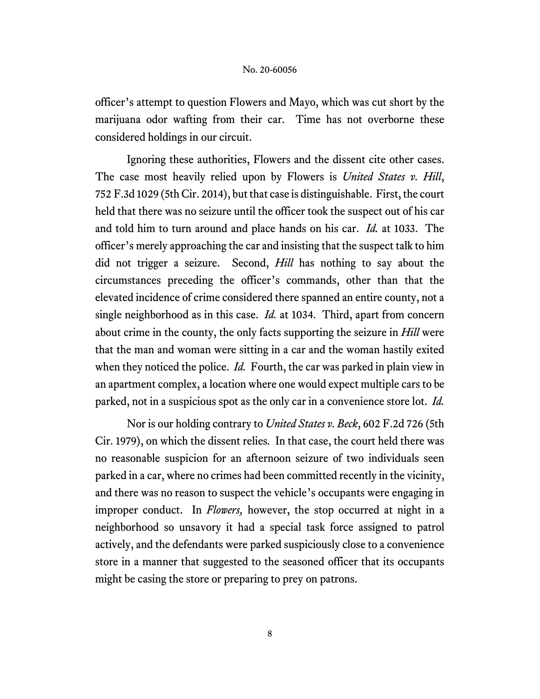officer's attempt to question Flowers and Mayo, which was cut short by the marijuana odor wafting from their car. Time has not overborne these considered holdings in our circuit.

Ignoring these authorities, Flowers and the dissent cite other cases. The case most heavily relied upon by Flowers is *United States v. Hill*, 752 F.3d 1029 (5th Cir. 2014), but that case is distinguishable. First, the court held that there was no seizure until the officer took the suspect out of his car and told him to turn around and place hands on his car. *Id.* at 1033. The officer's merely approaching the car and insisting that the suspect talk to him did not trigger a seizure. Second, *Hill* has nothing to say about the circumstances preceding the officer's commands, other than that the elevated incidence of crime considered there spanned an entire county, not a single neighborhood as in this case. *Id.* at 1034. Third, apart from concern about crime in the county, the only facts supporting the seizure in *Hill* were that the man and woman were sitting in a car and the woman hastily exited when they noticed the police. *Id.* Fourth, the car was parked in plain view in an apartment complex, a location where one would expect multiple cars to be parked, not in a suspicious spot as the only car in a convenience store lot. *Id.*

Nor is our holding contrary to *United States v. Beck*, 602 F.2d 726 (5th Cir. 1979), on which the dissent relies*.* In that case, the court held there was no reasonable suspicion for an afternoon seizure of two individuals seen parked in a car, where no crimes had been committed recently in the vicinity, and there was no reason to suspect the vehicle's occupants were engaging in improper conduct. In *Flowers,* however, the stop occurred at night in a neighborhood so unsavory it had a special task force assigned to patrol actively, and the defendants were parked suspiciously close to a convenience store in a manner that suggested to the seasoned officer that its occupants might be casing the store or preparing to prey on patrons.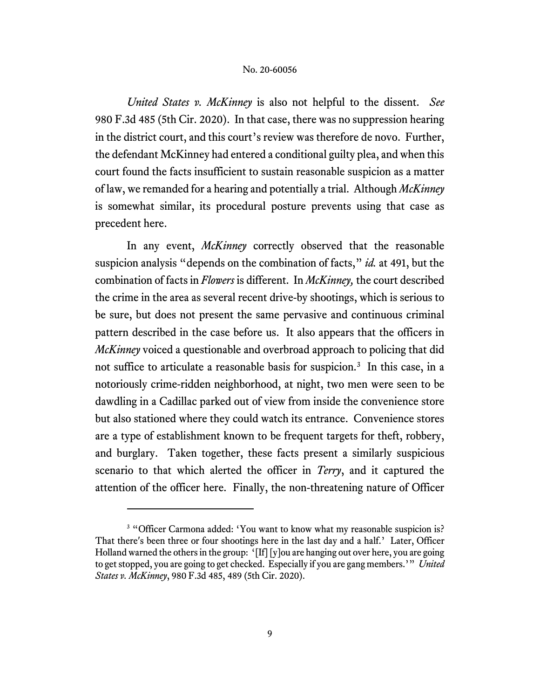*United States v. McKinney* is also not helpful to the dissent. *See* 980 F.3d 485 (5th Cir. 2020). In that case, there was no suppression hearing in the district court, and this court's review was therefore de novo. Further, the defendant McKinney had entered a conditional guilty plea, and when this court found the facts insufficient to sustain reasonable suspicion as a matter of law, we remanded for a hearing and potentially a trial. Although *McKinney* is somewhat similar, its procedural posture prevents using that case as precedent here.

In any event, *McKinney* correctly observed that the reasonable suspicion analysis "depends on the combination of facts," *id.* at 491, but the combination of facts in *Flowers* is different. In *McKinney,* the court described the crime in the area as several recent drive-by shootings, which is serious to be sure, but does not present the same pervasive and continuous criminal pattern described in the case before us. It also appears that the officers in *McKinney* voiced a questionable and overbroad approach to policing that did not suffice to articulate a reasonable basis for suspicion. 3 In this case, in a notoriously crime-ridden neighborhood, at night, two men were seen to be dawdling in a Cadillac parked out of view from inside the convenience store but also stationed where they could watch its entrance. Convenience stores are a type of establishment known to be frequent targets for theft, robbery, and burglary. Taken together, these facts present a similarly suspicious scenario to that which alerted the officer in *Terry*, and it captured the attention of the officer here. Finally, the non-threatening nature of Officer

<sup>&</sup>lt;sup>3</sup> "Officer Carmona added: 'You want to know what my reasonable suspicion is? That there's been three or four shootings here in the last day and a half.' Later, Officer Holland warned the others in the group: '[If] [y]ou are hanging out over here, you are going to get stopped, you are going to get checked. Especially if you are gang members.'" *United States v. McKinney*, 980 F.3d 485, 489 (5th Cir. 2020).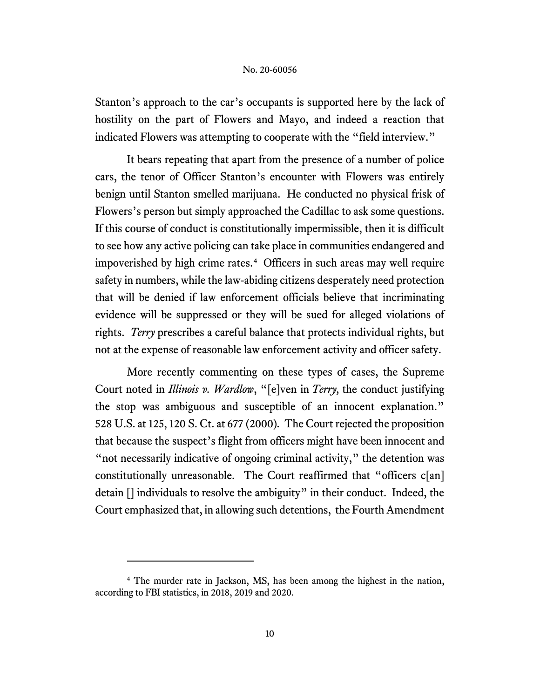Stanton's approach to the car's occupants is supported here by the lack of hostility on the part of Flowers and Mayo, and indeed a reaction that indicated Flowers was attempting to cooperate with the "field interview."

It bears repeating that apart from the presence of a number of police cars, the tenor of Officer Stanton's encounter with Flowers was entirely benign until Stanton smelled marijuana. He conducted no physical frisk of Flowers's person but simply approached the Cadillac to ask some questions. If this course of conduct is constitutionally impermissible, then it is difficult to see how any active policing can take place in communities endangered and impoverished by high crime rates. 4 Officers in such areas may well require safety in numbers, while the law-abiding citizens desperately need protection that will be denied if law enforcement officials believe that incriminating evidence will be suppressed or they will be sued for alleged violations of rights. *Terry* prescribes a careful balance that protects individual rights, but not at the expense of reasonable law enforcement activity and officer safety.

More recently commenting on these types of cases, the Supreme Court noted in *Illinois v. Wardlow*, "[e]ven in *Terry,* the conduct justifying the stop was ambiguous and susceptible of an innocent explanation." 528 U.S. at 125, 120 S. Ct. at 677 (2000)*.* The Court rejected the proposition that because the suspect's flight from officers might have been innocent and "not necessarily indicative of ongoing criminal activity," the detention was constitutionally unreasonable. The Court reaffirmed that "officers c[an] detain [] individuals to resolve the ambiguity" in their conduct. Indeed, the Court emphasized that, in allowing such detentions, the Fourth Amendment

<sup>&</sup>lt;sup>4</sup> The murder rate in Jackson, MS, has been among the highest in the nation, according to FBI statistics, in 2018, 2019 and 2020.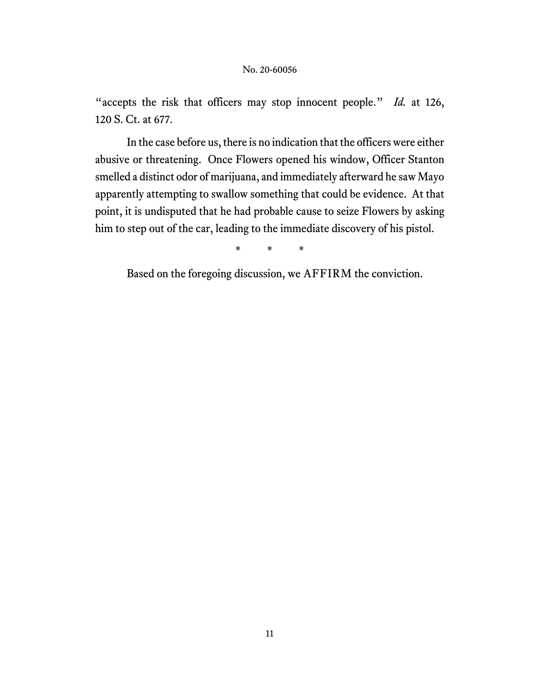"accepts the risk that officers may stop innocent people." *Id.* at 126, 120 S. Ct. at 677.

In the case before us, there is no indication that the officers were either abusive or threatening. Once Flowers opened his window, Officer Stanton smelled a distinct odor of marijuana, and immediately afterward he saw Mayo apparently attempting to swallow something that could be evidence. At that point, it is undisputed that he had probable cause to seize Flowers by asking him to step out of the car, leading to the immediate discovery of his pistol.

\* \* \*

Based on the foregoing discussion, we AFFIRM the conviction.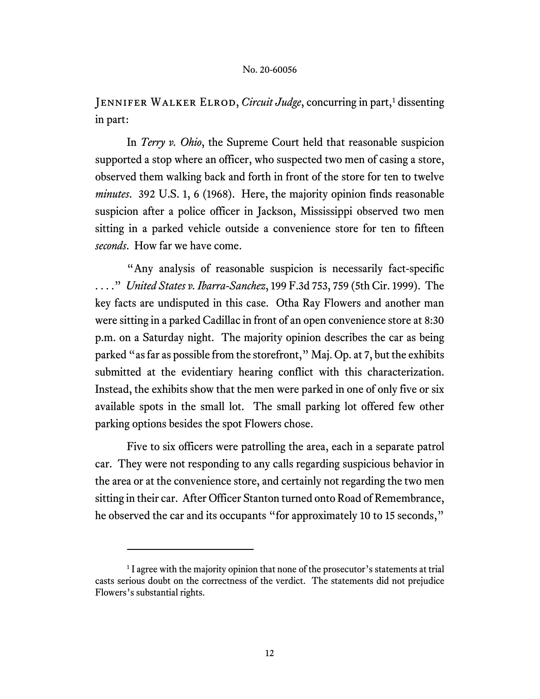JENNIFER WALKER ELROD, *Circuit Judge*, concurring in part,<sup>1</sup> dissenting in part:

In *Terry v. Ohio*, the Supreme Court held that reasonable suspicion supported a stop where an officer, who suspected two men of casing a store, observed them walking back and forth in front of the store for ten to twelve *minutes*. 392 U.S. 1, 6 (1968). Here, the majority opinion finds reasonable suspicion after a police officer in Jackson, Mississippi observed two men sitting in a parked vehicle outside a convenience store for ten to fifteen *seconds*. How far we have come.

"Any analysis of reasonable suspicion is necessarily fact-specific . . . ." *United States v. Ibarra-Sanchez*, 199 F.3d 753, 759 (5th Cir. 1999). The key facts are undisputed in this case. Otha Ray Flowers and another man were sitting in a parked Cadillac in front of an open convenience store at 8:30 p.m. on a Saturday night. The majority opinion describes the car as being parked "as far as possible from the storefront," Maj. Op. at 7, but the exhibits submitted at the evidentiary hearing conflict with this characterization. Instead, the exhibits show that the men were parked in one of only five or six available spots in the small lot. The small parking lot offered few other parking options besides the spot Flowers chose.

Five to six officers were patrolling the area, each in a separate patrol car. They were not responding to any calls regarding suspicious behavior in the area or at the convenience store, and certainly not regarding the two men sitting in their car.After Officer Stanton turned onto Road of Remembrance, he observed the car and its occupants "for approximately 10 to 15 seconds,"

<sup>&</sup>lt;sup>1</sup> I agree with the majority opinion that none of the prosecutor's statements at trial casts serious doubt on the correctness of the verdict. The statements did not prejudice Flowers's substantial rights.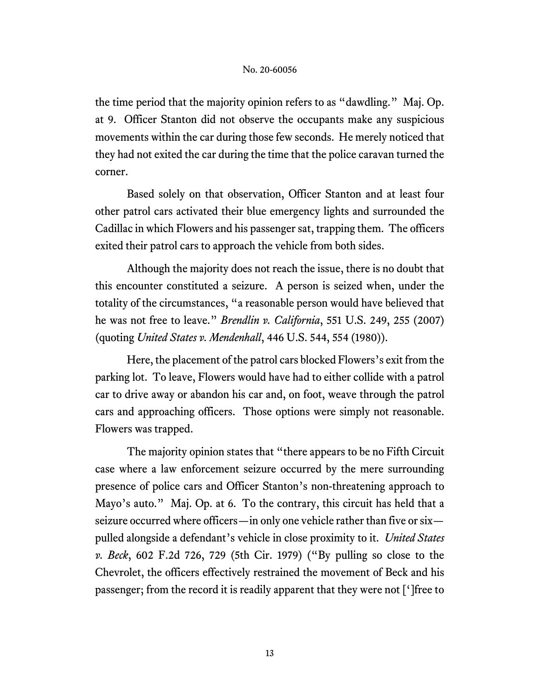the time period that the majority opinion refers to as "dawdling." Maj. Op. at 9. Officer Stanton did not observe the occupants make any suspicious movements within the car during those few seconds. He merely noticed that they had not exited the car during the time that the police caravan turned the corner.

Based solely on that observation, Officer Stanton and at least four other patrol cars activated their blue emergency lights and surrounded the Cadillac in which Flowers and his passenger sat, trapping them. The officers exited their patrol cars to approach the vehicle from both sides.

Although the majority does not reach the issue, there is no doubt that this encounter constituted a seizure. A person is seized when, under the totality of the circumstances, "a reasonable person would have believed that he was not free to leave." *Brendlin v. California*, 551 U.S. 249, 255 (2007) (quoting *United States v. Mendenhall*, 446 U.S. 544, 554 (1980)).

Here, the placement of the patrol cars blocked Flowers's exit from the parking lot. To leave, Flowers would have had to either collide with a patrol car to drive away or abandon his car and, on foot, weave through the patrol cars and approaching officers. Those options were simply not reasonable. Flowers was trapped.

The majority opinion states that "there appears to be no Fifth Circuit case where a law enforcement seizure occurred by the mere surrounding presence of police cars and Officer Stanton's non-threatening approach to Mayo's auto." Maj. Op. at 6. To the contrary, this circuit has held that a seizure occurred where officers—in only one vehicle rather than five or six pulled alongside a defendant's vehicle in close proximity to it. *United States v. Beck*, 602 F.2d 726, 729 (5th Cir. 1979) ("By pulling so close to the Chevrolet, the officers effectively restrained the movement of Beck and his passenger; from the record it is readily apparent that they were not [']free to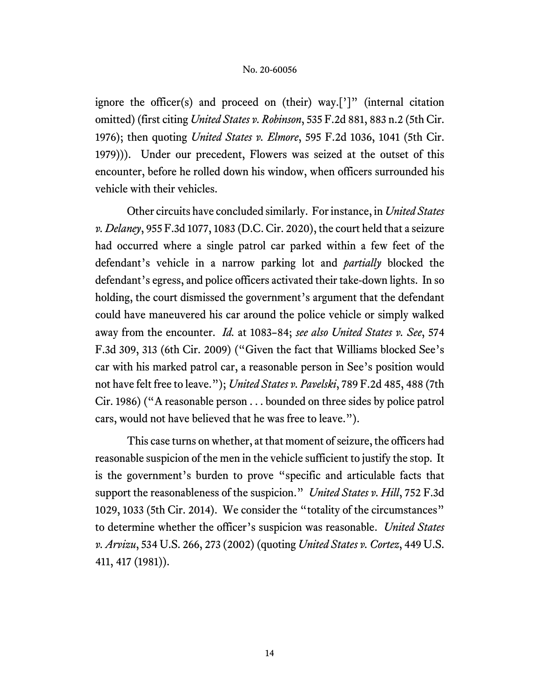ignore the officer(s) and proceed on (their) way.<sup>[']"</sup> (internal citation omitted) (first citing *United States v. Robinson*, 535 F.2d 881, 883 n.2 (5th Cir. 1976); then quoting *United States v. Elmore*, 595 F.2d 1036, 1041 (5th Cir. 1979))). Under our precedent, Flowers was seized at the outset of this encounter, before he rolled down his window, when officers surrounded his vehicle with their vehicles.

Other circuits have concluded similarly. For instance, in *United States v. Delaney*, 955 F.3d 1077, 1083 (D.C. Cir. 2020), the court held that a seizure had occurred where a single patrol car parked within a few feet of the defendant's vehicle in a narrow parking lot and *partially* blocked the defendant's egress, and police officers activated their take-down lights. In so holding, the court dismissed the government's argument that the defendant could have maneuvered his car around the police vehicle or simply walked away from the encounter. *Id.* at 1083–84; *see also United States v. See*, 574 F.3d 309, 313 (6th Cir. 2009) ("Given the fact that Williams blocked See's car with his marked patrol car, a reasonable person in See's position would not have felt free to leave."); *United States v. Pavelski*, 789 F.2d 485, 488 (7th Cir. 1986) ("A reasonable person . . . bounded on three sides by police patrol cars, would not have believed that he was free to leave.").

This case turns on whether, at that moment of seizure, the officers had reasonable suspicion of the men in the vehicle sufficient to justify the stop. It is the government's burden to prove "specific and articulable facts that support the reasonableness of the suspicion." *United States v. Hill*, 752 F.3d 1029, 1033 (5th Cir. 2014). We consider the "totality of the circumstances" to determine whether the officer's suspicion was reasonable. *United States v. Arvizu*, 534 U.S. 266, 273 (2002) (quoting *United States v. Cortez*, 449 U.S. 411, 417 (1981)).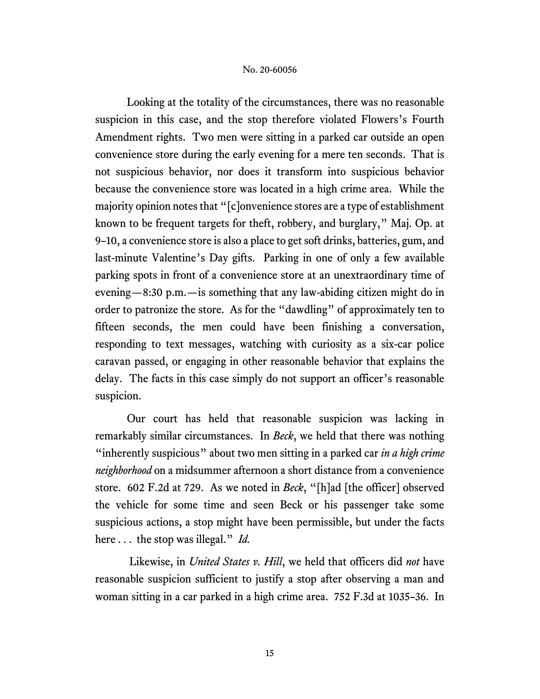Looking at the totality of the circumstances, there was no reasonable suspicion in this case, and the stop therefore violated Flowers's Fourth Amendment rights. Two men were sitting in a parked car outside an open convenience store during the early evening for a mere ten seconds. That is not suspicious behavior, nor does it transform into suspicious behavior because the convenience store was located in a high crime area. While the majority opinion notes that "[c]onvenience stores are a type of establishment known to be frequent targets for theft, robbery, and burglary," Maj. Op. at 9–10, a convenience store is also a place to get soft drinks, batteries, gum, and last-minute Valentine's Day gifts. Parking in one of only a few available parking spots in front of a convenience store at an unextraordinary time of evening—8:30 p.m.—is something that any law-abiding citizen might do in order to patronize the store. As for the "dawdling" of approximately ten to fifteen seconds, the men could have been finishing a conversation, responding to text messages, watching with curiosity as a six-car police caravan passed, or engaging in other reasonable behavior that explains the delay. The facts in this case simply do not support an officer's reasonable suspicion.

Our court has held that reasonable suspicion was lacking in remarkably similar circumstances. In *Beck*, we held that there was nothing "inherently suspicious" about two men sitting in a parked car *in a high crime neighborhood* on a midsummer afternoon a short distance from a convenience store. 602 F.2d at 729. As we noted in *Beck*, "[h]ad [the officer] observed the vehicle for some time and seen Beck or his passenger take some suspicious actions, a stop might have been permissible, but under the facts here . . . the stop was illegal." *Id.*

Likewise, in *United States v. Hill*, we held that officers did *not* have reasonable suspicion sufficient to justify a stop after observing a man and woman sitting in a car parked in a high crime area. 752 F.3d at 1035–36. In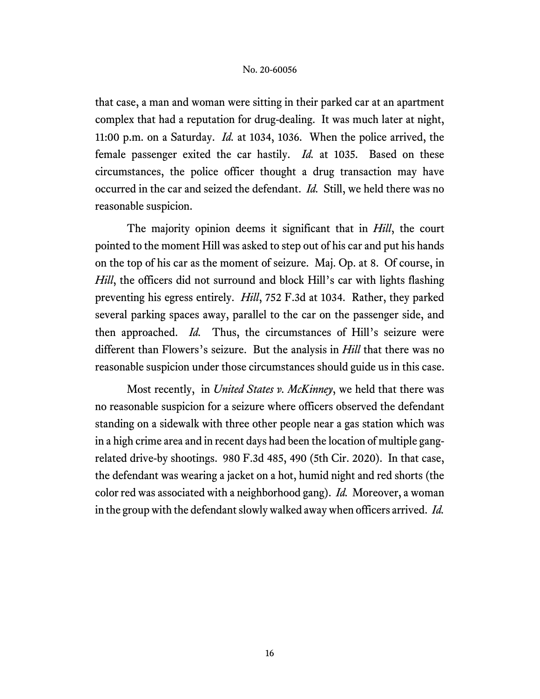that case, a man and woman were sitting in their parked car at an apartment complex that had a reputation for drug-dealing. It was much later at night, 11:00 p.m. on a Saturday. *Id.* at 1034, 1036. When the police arrived, the female passenger exited the car hastily. *Id.* at 1035.Based on these circumstances, the police officer thought a drug transaction may have occurred in the car and seized the defendant. *Id.* Still, we held there was no reasonable suspicion.

The majority opinion deems it significant that in *Hill*, the court pointed to the moment Hill was asked to step out of his car and put his hands on the top of his car as the moment of seizure. Maj. Op. at 8. Of course, in *Hill*, the officers did not surround and block Hill's car with lights flashing preventing his egress entirely. *Hill*, 752 F.3d at 1034. Rather, they parked several parking spaces away, parallel to the car on the passenger side, and then approached. *Id.* Thus, the circumstances of Hill's seizure were different than Flowers's seizure. But the analysis in *Hill* that there was no reasonable suspicion under those circumstances should guide us in this case.

Most recently, in *United States v. McKinney*, we held that there was no reasonable suspicion for a seizure where officers observed the defendant standing on a sidewalk with three other people near a gas station which was in a high crime area and in recent days had been the location of multiple gangrelated drive-by shootings. 980 F.3d 485, 490 (5th Cir. 2020). In that case, the defendant was wearing a jacket on a hot, humid night and red shorts (the color red was associated with a neighborhood gang). *Id.* Moreover, a woman in the group with the defendant slowly walked away when officers arrived. *Id.*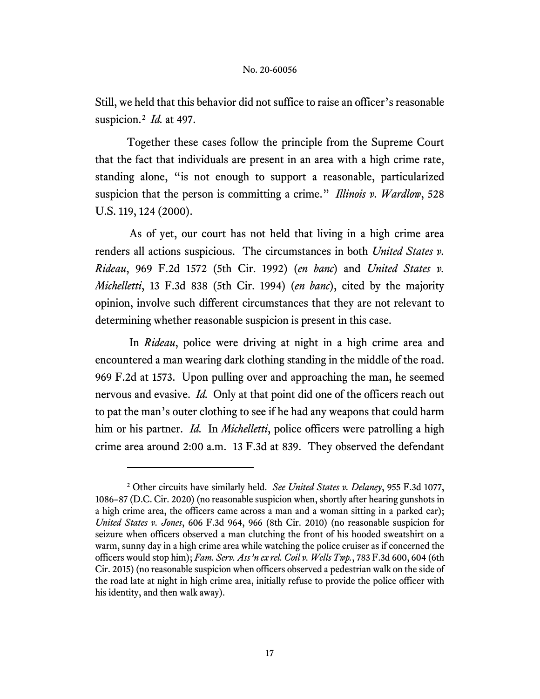Still, we held that this behavior did not suffice to raise an officer's reasonable suspicion.2 *Id.* at 497.

Together these cases follow the principle from the Supreme Court that the fact that individuals are present in an area with a high crime rate, standing alone, "is not enough to support a reasonable, particularized suspicion that the person is committing a crime." *Illinois v. Wardlow*, 528 U.S. 119, 124 (2000).

As of yet, our court has not held that living in a high crime area renders all actions suspicious. The circumstances in both *United States v. Rideau*, 969 F.2d 1572 (5th Cir. 1992) (*en banc*) and *United States v. Michelletti*, 13 F.3d 838 (5th Cir. 1994) (*en banc*), cited by the majority opinion, involve such different circumstances that they are not relevant to determining whether reasonable suspicion is present in this case.

In *Rideau*, police were driving at night in a high crime area and encountered a man wearing dark clothing standing in the middle of the road. 969 F.2d at 1573. Upon pulling over and approaching the man, he seemed nervous and evasive. *Id.* Only at that point did one of the officers reach out to pat the man's outer clothing to see if he had any weapons that could harm him or his partner. *Id.* In *Michelletti*, police officers were patrolling a high crime area around 2:00 a.m. 13 F.3d at 839. They observed the defendant

<sup>2</sup> Other circuits have similarly held. *See United States v. Delaney*, 955 F.3d 1077, 1086–87 (D.C. Cir. 2020) (no reasonable suspicion when, shortly after hearing gunshots in a high crime area, the officers came across a man and a woman sitting in a parked car); *United States v. Jones*, 606 F.3d 964, 966 (8th Cir. 2010) (no reasonable suspicion for seizure when officers observed a man clutching the front of his hooded sweatshirt on a warm, sunny day in a high crime area while watching the police cruiser as if concerned the officers would stop him); *Fam. Serv. Ass'n ex rel. Coil v. Wells Twp.*, 783 F.3d 600, 604 (6th Cir. 2015) (no reasonable suspicion when officers observed a pedestrian walk on the side of the road late at night in high crime area, initially refuse to provide the police officer with his identity, and then walk away).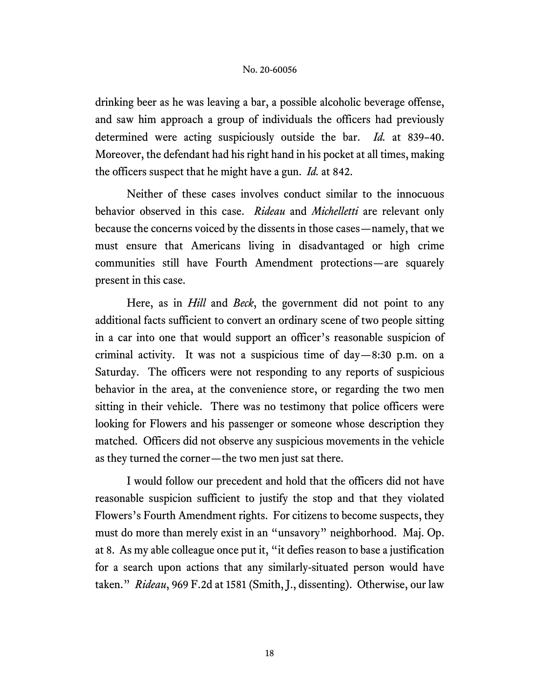drinking beer as he was leaving a bar, a possible alcoholic beverage offense, and saw him approach a group of individuals the officers had previously determined were acting suspiciously outside the bar. *Id.* at 839–40. Moreover, the defendant had his right hand in his pocket at all times, making the officers suspect that he might have a gun. *Id.* at 842.

Neither of these cases involves conduct similar to the innocuous behavior observed in this case. *Rideau* and *Michelletti* are relevant only because the concerns voiced by the dissents in those cases—namely, that we must ensure that Americans living in disadvantaged or high crime communities still have Fourth Amendment protections—are squarely present in this case.

Here, as in *Hill* and *Beck*, the government did not point to any additional facts sufficient to convert an ordinary scene of two people sitting in a car into one that would support an officer's reasonable suspicion of criminal activity. It was not a suspicious time of day—8:30 p.m. on a Saturday. The officers were not responding to any reports of suspicious behavior in the area, at the convenience store, or regarding the two men sitting in their vehicle. There was no testimony that police officers were looking for Flowers and his passenger or someone whose description they matched. Officers did not observe any suspicious movements in the vehicle as they turned the corner—the two men just sat there.

I would follow our precedent and hold that the officers did not have reasonable suspicion sufficient to justify the stop and that they violated Flowers's Fourth Amendment rights. For citizens to become suspects, they must do more than merely exist in an "unsavory" neighborhood. Maj. Op. at 8. As my able colleague once put it, "it defies reason to base a justification for a search upon actions that any similarly-situated person would have taken." *Rideau*, 969 F.2d at 1581 (Smith, J., dissenting). Otherwise, our law